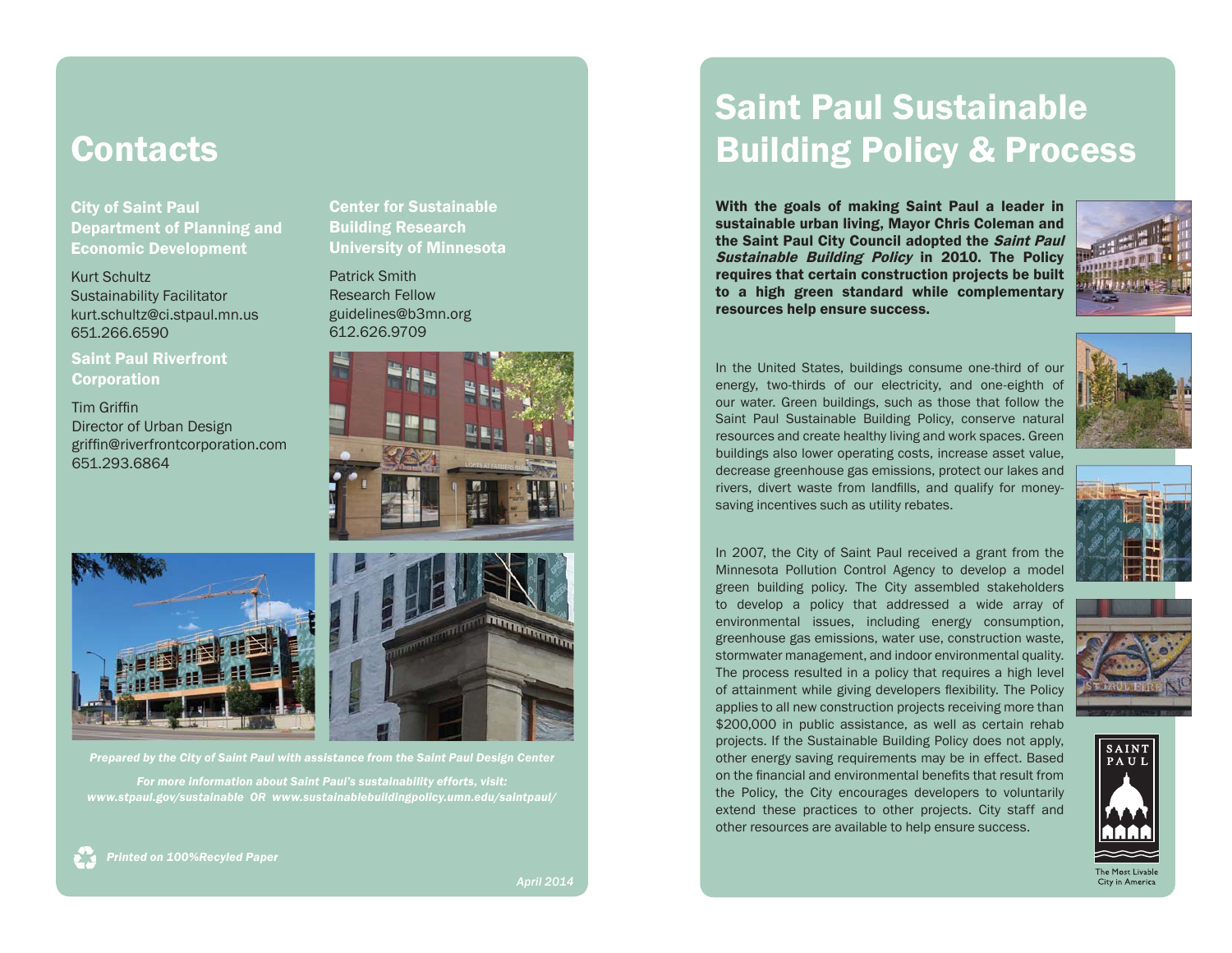# **Contacts**

Department of Planning and Economic Development

Kurt Schultz Sustainability Facilitator kurt.schultz@ci.stpaul.mn.us 651.266.6590

Saint Paul Riverfront **Corporation** 

**Tim Griffin** Director of Urban Design griffin@riverfrontcorporation.com 651.293.6864

Center for Sustainable Building Research University of Minnesota

Patrick SmithResearch Fellowguidelines@b3mn.org 612.626.9709





*Prepared by the City of Saint Paul with assistance from the Saint Paul Design Center For more information about Saint Paul's sustainability efforts, visit: www.stpaul.gov/sustainable OR www.sustainablebuildingpolicy.umn.edu/saintpaul/*

# City of Saint Paul

*Printed on 100%Recyled Paper*

*April 2014*

# Saint Paul Sustainable Building Policy & Process

With the goals of making Saint Paul a leader in sustainable urban living, Mayor Chris Coleman and the Saint Paul City Council adopted the Saint Paul Sustainable Building Policy in 2010. The Policy requires that certain construction projects be built to a high green standard while complementary resources help ensure success.



In the United States, buildings consume one-third of our energy, two-thirds of our electricity, and one-eighth of our water. Green buildings, such as those that follow the Saint Paul Sustainable Building Policy, conserve natural resources and create healthy living and work spaces. Green buildings also lower operating costs, increase asset value, decrease greenhouse gas emissions, protect our lakes and rivers, divert waste from landfills, and qualify for moneysaving incentives such as utility rebates.



In 2007, the City of Saint Paul received a grant from the Minnesota Pollution Control Agency to develop a model green building policy. The City assembled stakeholders to develop a policy that addressed a wide array of environmental issues, including energy consumption, greenhouse gas emissions, water use, construction waste, stormwater management, and indoor environmental quality. The process resulted in a policy that requires a high level of attainment while giving developers flexibility. The Policy applies to all new construction projects receiving more than \$200,000 in public assistance, as well as certain rehab projects. If the Sustainable Building Policy does not apply, other energy saving requirements may be in effect. Based on the financial and environmental benefits that result from the Policy, the City encourages developers to voluntarily extend these practices to other projects. City staff and

other resources are available to help ensure success.



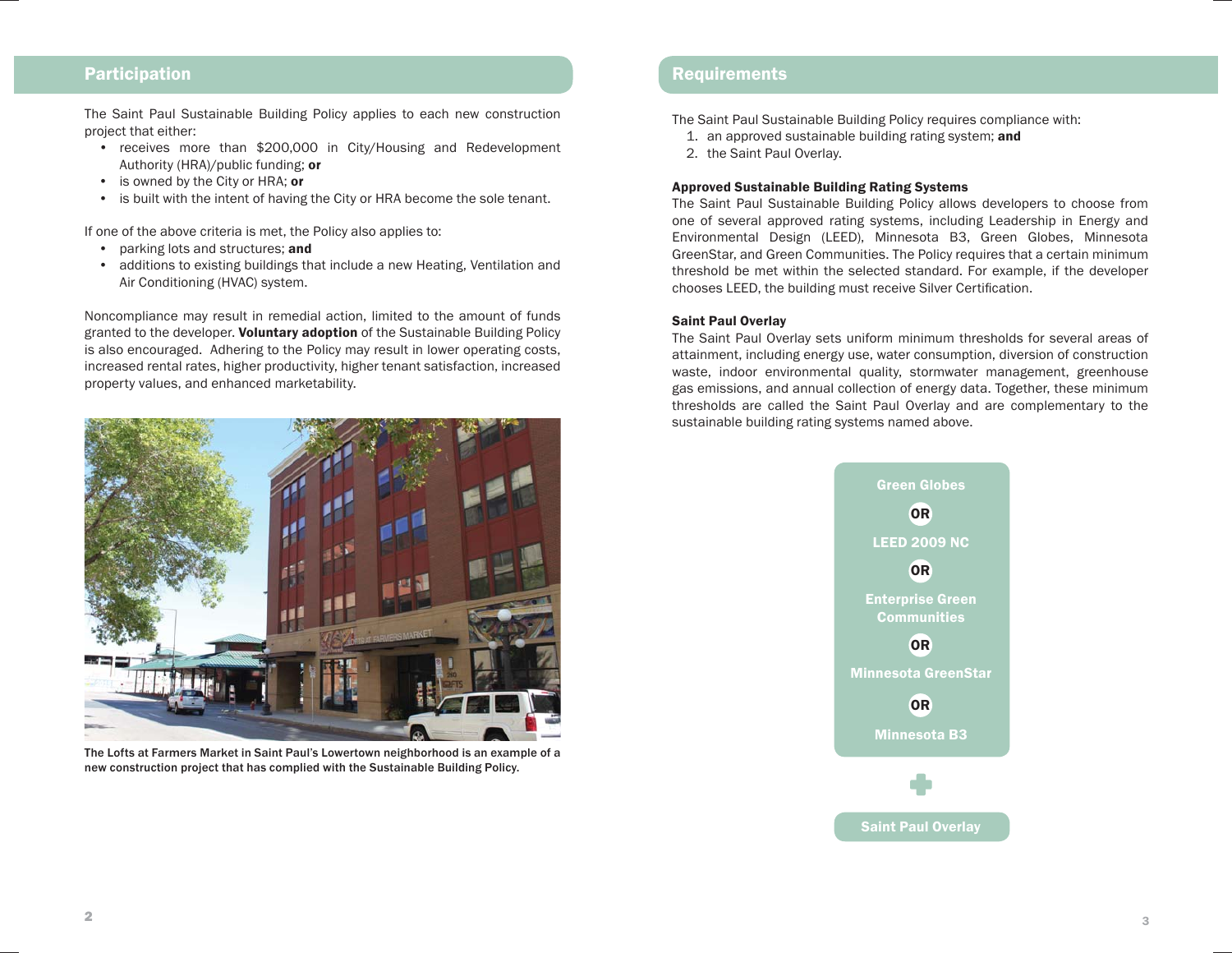### **Participation**

The Saint Paul Sustainable Building Policy applies to each new construction project that either:

- receives more than \$200,000 in City/Housing and Redevelopment Authority (HRA)/public funding; or
- is owned by the City or HRA; or
- is built with the intent of having the City or HRA become the sole tenant.

If one of the above criteria is met, the Policy also applies to:

- parking lots and structures; and
- additions to existing buildings that include a new Heating, Ventilation and Air Conditioning (HVAC) system.

Noncompliance may result in remedial action, limited to the amount of funds granted to the developer. Voluntary adoption of the Sustainable Building Policy is also encouraged. Adhering to the Policy may result in lower operating costs, increased rental rates, higher productivity, higher tenant satisfaction, increased property values, and enhanced marketability.



The Lofts at Farmers Market in Saint Paul's Lowertown neighborhood is an example of a new construction project that has complied with the Sustainable Building Policy.

### **Requirements**

The Saint Paul Sustainable Building Policy requires compliance with:

- 1. an approved sustainable building rating system; and
- 2. the Saint Paul Overlay.

#### Approved Sustainable Building Rating Systems

The Saint Paul Sustainable Building Policy allows developers to choose from one of several approved rating systems, including Leadership in Energy and Environmental Design (LEED), Minnesota B3, Green Globes, Minnesota GreenStar, and Green Communities. The Policy requires that a certain minimum threshold be met within the selected standard. For example, if the developer chooses LEED, the building must receive Silver Certification.

#### Saint Paul Overlay

The Saint Paul Overlay sets uniform minimum thresholds for several areas of attainment, including energy use, water consumption, diversion of construction waste, indoor environmental quality, stormwater management, greenhouse gas emissions, and annual collection of energy data. Together, these minimum thresholds are called the Saint Paul Overlay and are complementary to the sustainable building rating systems named above.

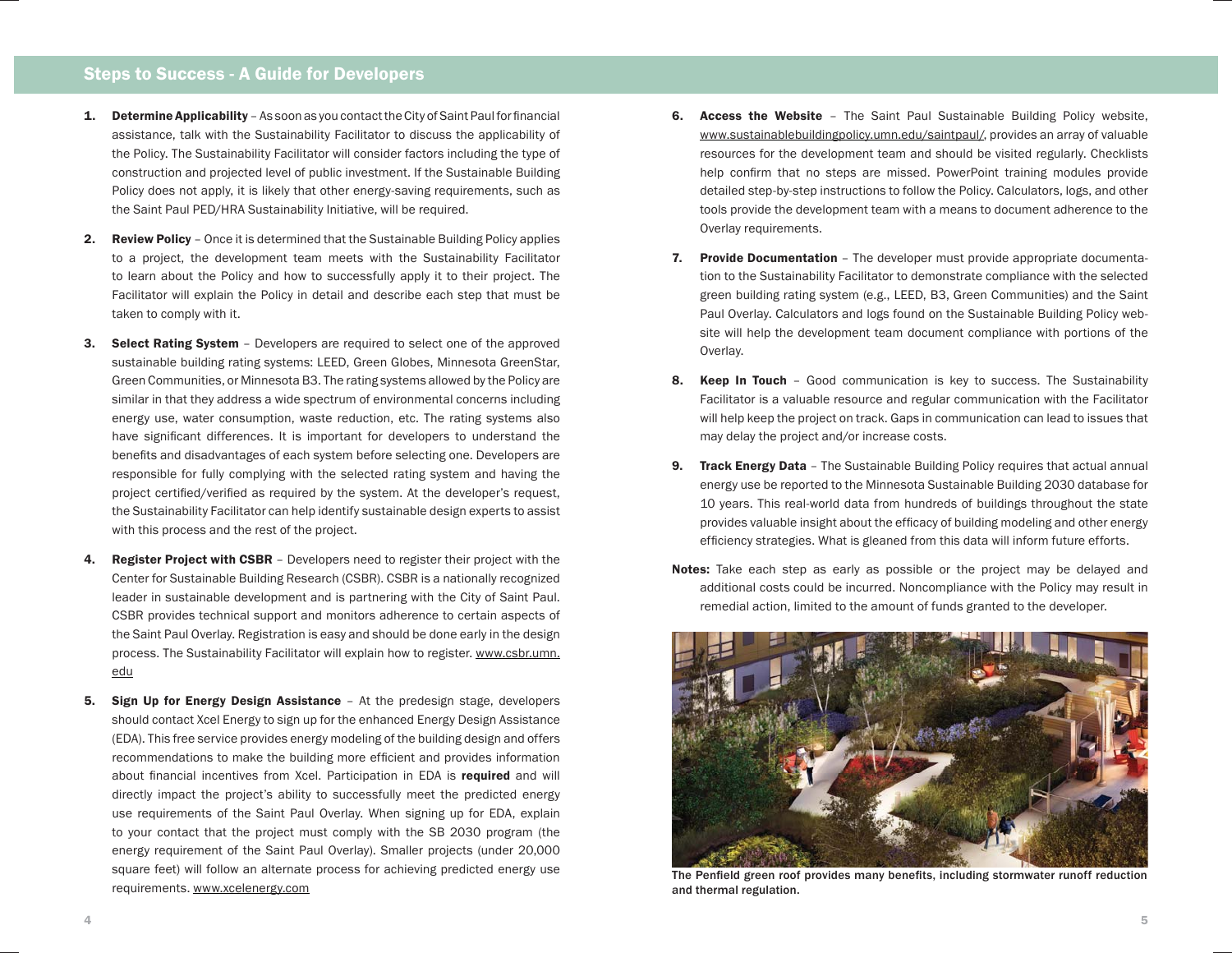## Steps to Success - A Guide for Developers

- **1.** Determine Applicability  $-$  As soon as you contact the City of Saint Paul for financial assistance, talk with the Sustainability Facilitator to discuss the applicability of the Policy. The Sustainability Facilitator will consider factors including the type of construction and projected level of public investment. If the Sustainable Building Policy does not apply, it is likely that other energy-saving requirements, such as the Saint Paul PED/HRA Sustainability Initiative, will be required.
- 2. Review Policy Once it is determined that the Sustainable Building Policy applies to a project, the development team meets with the Sustainability Facilitator to learn about the Policy and how to successfully apply it to their project. The Facilitator will explain the Policy in detail and describe each step that must be taken to comply with it.
- 3. Select Rating System Developers are required to select one of the approved sustainable building rating systems: LEED, Green Globes, Minnesota GreenStar, Green Communities, or Minnesota B3. The rating systems allowed by the Policy are similar in that they address a wide spectrum of environmental concerns including energy use, water consumption, waste reduction, etc. The rating systems also have significant differences. It is important for developers to understand the benefits and disadvantages of each system before selecting one. Developers are responsible for fully complying with the selected rating system and having the project certified/verified as required by the system. At the developer's request, the Sustainability Facilitator can help identify sustainable design experts to assist with this process and the rest of the project.
- 4. Register Project with CSBR Developers need to register their project with the Center for Sustainable Building Research (CSBR). CSBR is a nationally recognized leader in sustainable development and is partnering with the City of Saint Paul. CSBR provides technical support and monitors adherence to certain aspects of the Saint Paul Overlay. Registration is easy and should be done early in the design process. The Sustainability Facilitator will explain how to register. www.csbr.umn. edu
- **5.** Sign Up for Energy Design Assistance At the predesign stage, developers should contact Xcel Energy to sign up for the enhanced Energy Design Assistance (EDA). This free service provides energy modeling of the building design and offers recommendations to make the building more efficient and provides information about financial incentives from Xcel. Participation in EDA is required and will directly impact the project's ability to successfully meet the predicted energy use requirements of the Saint Paul Overlay. When signing up for EDA, explain to your contact that the project must comply with the SB 2030 program (the energy requirement of the Saint Paul Overlay). Smaller projects (under 20,000 square feet) will follow an alternate process for achieving predicted energy use requirements. www.xcelenergy.com
- 6. Access the Website The Saint Paul Sustainable Building Policy website, www.sustainablebuildingpolicy.umn.edu/saintpaul/, provides an array of valuable resources for the development team and should be visited regularly. Checklists help confirm that no steps are missed. PowerPoint training modules provide detailed step-by-step instructions to follow the Policy. Calculators, logs, and other tools provide the development team with a means to document adherence to the Overlay requirements.
- 7. Provide Documentation The developer must provide appropriate documentation to the Sustainability Facilitator to demonstrate compliance with the selected green building rating system (e.g., LEED, B3, Green Communities) and the Saint Paul Overlay. Calculators and logs found on the Sustainable Building Policy website will help the development team document compliance with portions of the Overlay.
- 8. Keep In Touch Good communication is key to success. The Sustainability Facilitator is a valuable resource and regular communication with the Facilitator will help keep the project on track. Gaps in communication can lead to issues that may delay the project and/or increase costs.
- 9. Track Energy Data The Sustainable Building Policy requires that actual annual energy use be reported to the Minnesota Sustainable Building 2030 database for 10 years. This real-world data from hundreds of buildings throughout the state provides valuable insight about the efficacy of building modeling and other energy efficiency strategies. What is gleaned from this data will inform future efforts.
- Notes: Take each step as early as possible or the project may be delayed and additional costs could be incurred. Noncompliance with the Policy may result in remedial action, limited to the amount of funds granted to the developer.



The Penfield green roof provides many benefits, including stormwater runoff reduction and thermal regulation.